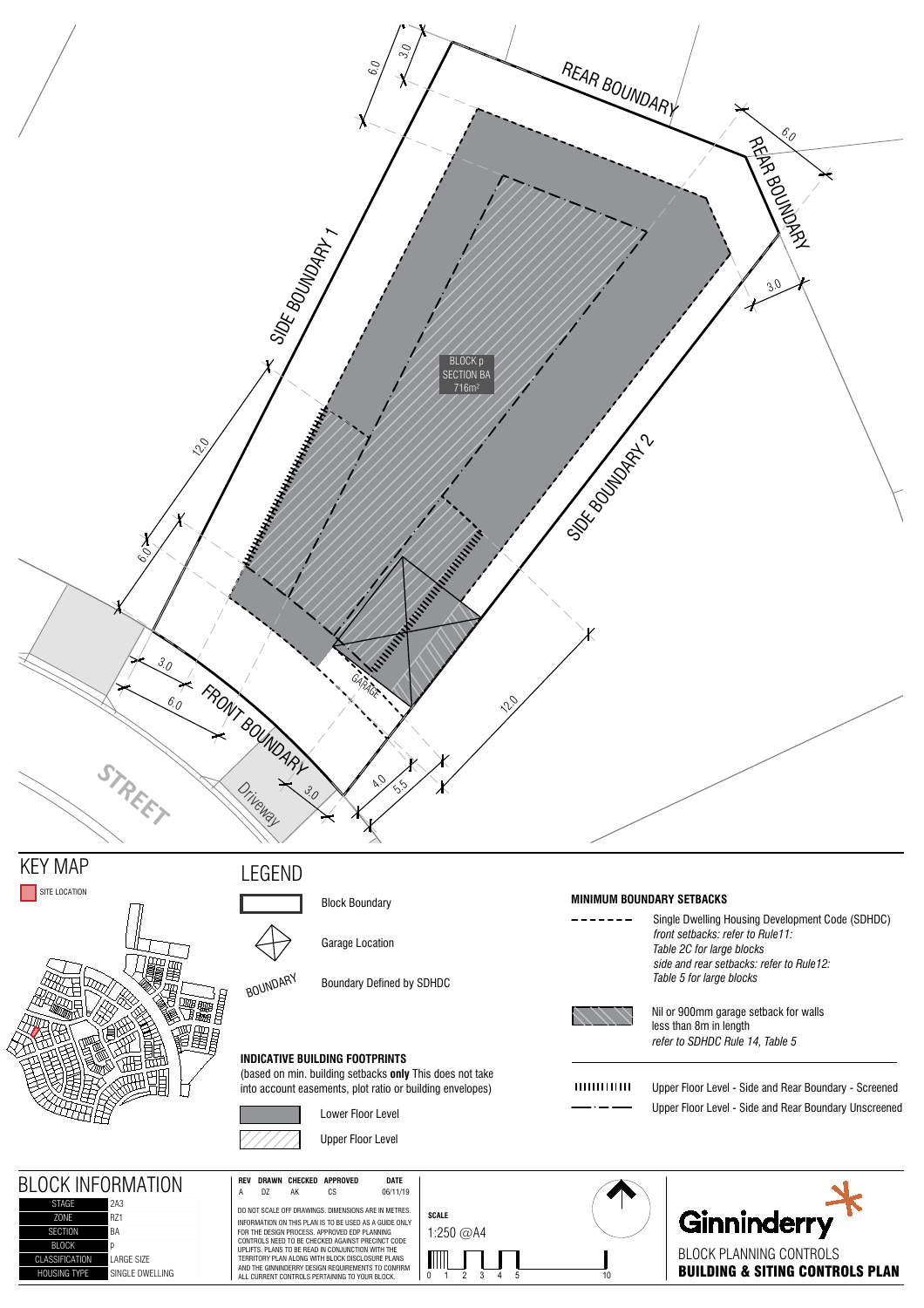